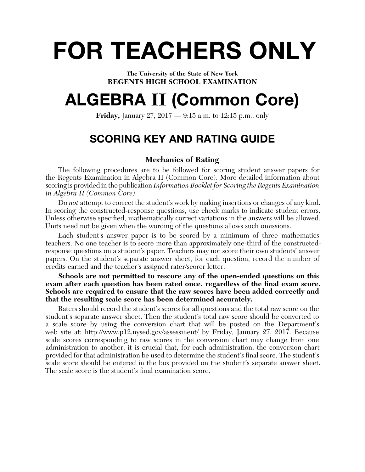# **FOR TEACHERS ONLY**

**The University of the State of New York REGENTS HIGH SCHOOL EXAMINATION**

## **ALGEBRA II (Common Core)**

**Friday,** January 27, 2017 — 9:15 a.m. to 12:15 p.m., only

## **SCORING KEY AND RATING GUIDE**

## **Mechanics of Rating**

The following procedures are to be followed for scoring student answer papers for the Regents Examination in Algebra II (Common Core). More detailed information about scoring is provided in the publication *Information Booklet for Scoring the Regents Examination in Algebra II (Common Core)*.

Do *not* attempt to correct the student's work by making insertions or changes of any kind. In scoring the constructed-response questions, use check marks to indicate student errors. Unless otherwise specified, mathematically correct variations in the answers will be allowed. Units need not be given when the wording of the questions allows such omissions.

Each student's answer paper is to be scored by a minimum of three mathematics teachers. No one teacher is to score more than approximately one-third of the constructedresponse questions on a student's paper. Teachers may not score their own students' answer papers. On the student's separate answer sheet, for each question, record the number of credits earned and the teacher's assigned rater/scorer letter.

**Schools are not permitted to rescore any of the open-ended questions on this**  exam after each question has been rated once, regardless of the final exam score. **Schools are required to ensure that the raw scores have been added correctly and that the resulting scale score has been determined accurately.**

Raters should record the student's scores for all questions and the total raw score on the student's separate answer sheet. Then the student's total raw score should be converted to a scale score by using the conversion chart that will be posted on the Department's web site at: http://www.pl2.nysed.gov/assessment/ by Friday, January 27, 2017. Because scale scores corresponding to raw scores in the conversion chart may change from one administration to another, it is crucial that, for each administration, the conversion chart provided for that administration be used to determine the student's final score. The student's scale score should be entered in the box provided on the student's separate answer sheet. The scale score is the student's final examination score.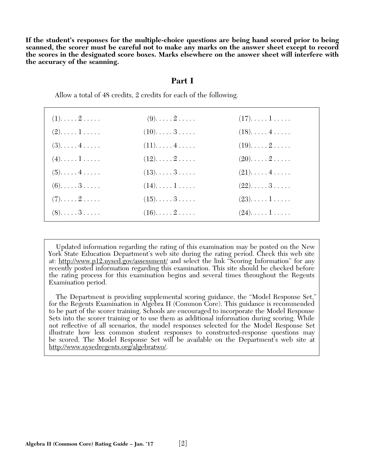**If the student's responses for the multiple-choice questions are being hand scored prior to being scanned, the scorer must be careful not to make any marks on the answer sheet except to record the scores in the designated score boxes. Marks elsewhere on the answer sheet will interfere with the accuracy of the scanning.**

#### **Part I**

Allow a total of 48 credits, 2 credits for each of the following.

| $(1)$ $2$           | $(9)$ . $\ldots$ . $2$ . $\ldots$ . | $(17)$ $1$ |  |
|---------------------|-------------------------------------|------------|--|
| $(2). \ldots . 1$   | $(10)$ 3                            | $(18)$ $4$ |  |
| $(3)$ $4$           | $(11)$ $4$                          | $(19)$ $2$ |  |
| $(4)$ $1$           | $(12)$ $2$                          | $(20)$ $2$ |  |
| $(5)$ . $\dots$ $4$ | $(13)$ $3$                          | $(21)$ $4$ |  |
| $(6)$ . 3           | $(14)$ $1$                          | $(22)$ $3$ |  |
| $(7)$ . 2           | $(15)$ . $\dots$ 3. $\dots$ .       | $(23)$ $1$ |  |
| $(8)$ . 3           | $(16)$ $2$                          | $(24)$ $1$ |  |
|                     |                                     |            |  |

 Updated information regarding the rating of this examination may be posted on the New York State Education Department's web site during the rating period. Check this web site at: http://www.p12.nysed.gov/assessment/ and select the link "Scoring Information" for any recently posted information regarding this examination. This site should be checked before the rating process for this examination begins and several times throughout the Regents Examination period.

 The Department is providing supplemental scoring guidance, the "Model Response Set," for the Regents Examination in Algebra II (Common Core). This guidance is recommended to be part of the scorer training. Schools are encouraged to incorporate the Model Response Sets into the scorer training or to use them as additional information during scoring. While not refl ective of all scenarios, the model responses selected for the Model Response Set illustrate how less common student responses to constructed-response questions may be scored. The Model Response Set will be available on the Department's web site at http://www.nysedregents.org/algebratwo/.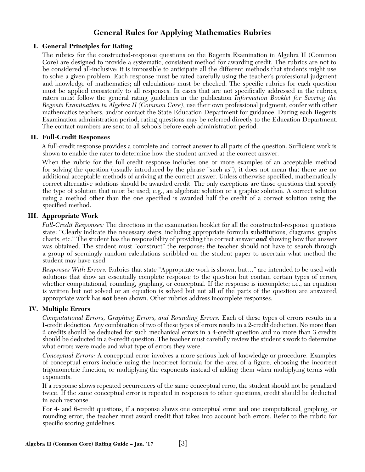## **General Rules for Applying Mathematics Rubrics**

## **I. General Principles for Rating**

The rubrics for the constructed-response questions on the Regents Examination in Algebra II (Common Core) are designed to provide a systematic, consistent method for awarding credit. The rubrics are not to be considered all-inclusive; it is impossible to anticipate all the different methods that students might use to solve a given problem. Each response must be rated carefully using the teacher's professional judgment and knowledge of mathematics; all calculations must be checked. The specific rubrics for each question must be applied consistently to all responses. In cases that are not specifically addressed in the rubrics, raters must follow the general rating guidelines in the publication *Information Booklet for Scoring the Regents Examination in Algebra II (Common Core)*, use their own professional judgment, confer with other mathematics teachers, and/or contact the State Education Department for guidance. During each Regents Examination administration period, rating questions may be referred directly to the Education Department. The contact numbers are sent to all schools before each administration period.

## **II. Full-Credit Responses**

A full-credit response provides a complete and correct answer to all parts of the question. Sufficient work is shown to enable the rater to determine how the student arrived at the correct answer.

When the rubric for the full-credit response includes one or more examples of an acceptable method for solving the question (usually introduced by the phrase "such as"), it does not mean that there are no additional acceptable methods of arriving at the correct answer. Unless otherwise specified, mathematically correct alternative solutions should be awarded credit. The only exceptions are those questions that specify the type of solution that must be used; e.g., an algebraic solution or a graphic solution. A correct solution using a method other than the one specified is awarded half the credit of a correct solution using the specified method.

## **III. Appropriate Work**

*Full-Credit Responses:* The directions in the examination booklet for all the constructed-response questions state: "Clearly indicate the necessary steps, including appropriate formula substitutions, diagrams, graphs, charts, etc." The student has the responsibility of providing the correct answer *and* showing how that answer was obtained. The student must "construct" the response; the teacher should not have to search through a group of seemingly random calculations scribbled on the student paper to ascertain what method the student may have used.

*Responses With Errors:* Rubrics that state "Appropriate work is shown, but…" are intended to be used with solutions that show an essentially complete response to the question but contain certain types of errors, whether computational, rounding, graphing, or conceptual. If the response is incomplete; i.e., an equation is written but not solved or an equation is solved but not all of the parts of the question are answered, appropriate work has *not* been shown. Other rubrics address incomplete responses.

## **IV. Multiple Errors**

*Computational Errors, Graphing Errors, and Rounding Errors:* Each of these types of errors results in a 1-credit deduction. Any combination of two of these types of errors results in a 2-credit deduction. No more than 2 credits should be deducted for such mechanical errors in a 4-credit question and no more than 3 credits should be deducted in a 6-credit question. The teacher must carefully review the student's work to determine what errors were made and what type of errors they were.

*Conceptual Errors:* A conceptual error involves a more serious lack of knowledge or procedure. Examples of conceptual errors include using the incorrect formula for the area of a figure, choosing the incorrect trigonometric function, or multiplying the exponents instead of adding them when multiplying terms with exponents.

If a response shows repeated occurrences of the same conceptual error, the student should not be penalized twice. If the same conceptual error is repeated in responses to other questions, credit should be deducted in each response.

For 4- and 6-credit questions, if a response shows one conceptual error and one computational, graphing, or rounding error, the teacher must award credit that takes into account both errors. Refer to the rubric for specific scoring guidelines.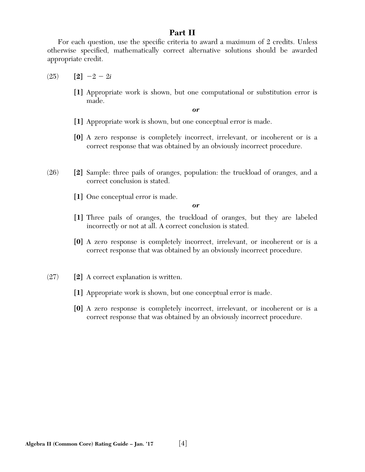## **Part II**

For each question, use the specific criteria to award a maximum of 2 credits. Unless otherwise specified, mathematically correct alternative solutions should be awarded appropriate credit.

- $(25)$  **[2]**  $-2 2i$ 
	- **[1]** Appropriate work is shown, but one computational or substitution error is made.

*or*

- **[1]** Appropriate work is shown, but one conceptual error is made.
- **[0]** A zero response is completely incorrect, irrelevant, or incoherent or is a correct response that was obtained by an obviously incorrect procedure.
- (26) **[2]** Sample: three pails of oranges, population: the truckload of oranges, and a correct conclusion is stated.
	- **[1]** One conceptual error is made.

- **[1]** Three pails of oranges, the truckload of oranges, but they are labeled incorrectly or not at all. A correct conclusion is stated.
- **[0]** A zero response is completely incorrect, irrelevant, or incoherent or is a correct response that was obtained by an obviously incorrect procedure.
- (27) **[2]** A correct explanation is written.
	- **[1]** Appropriate work is shown, but one conceptual error is made.
	- **[0]** A zero response is completely incorrect, irrelevant, or incoherent or is a correct response that was obtained by an obviously incorrect procedure.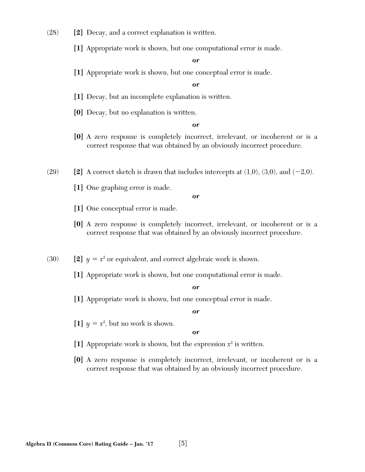- (28) **[2]** Decay, and a correct explanation is written.
	- **[1]** Appropriate work is shown, but one computational error is made.

**[1]** Appropriate work is shown, but one conceptual error is made.

#### *or*

- **[1]** Decay, but an incomplete explanation is written.
- **[0]** Decay, but no explanation is written.

#### *or*

**[0]** A zero response is completely incorrect, irrelevant, or incoherent or is a correct response that was obtained by an obviously incorrect procedure.

 $(29)$  **[2]** A correct sketch is drawn that includes intercepts at  $(1,0)$ ,  $(3,0)$ , and  $(-2,0)$ .

**[1]** One graphing error is made.

*or*

- **[1]** One conceptual error is made.
- **[0]** A zero response is completely incorrect, irrelevant, or incoherent or is a correct response that was obtained by an obviously incorrect procedure.
- (30) **[2]**  $y = x^2$  or equivalent, and correct algebraic work is shown.
	- **[1]** Appropriate work is shown, but one computational error is made.

#### *or*

**[1]** Appropriate work is shown, but one conceptual error is made.

#### *or*

[1]  $y = x^2$ , but no work is shown.

- **[1]** Appropriate work is shown, but the expression *x*<sup>2</sup> is written.
- **[0]** A zero response is completely incorrect, irrelevant, or incoherent or is a correct response that was obtained by an obviously incorrect procedure.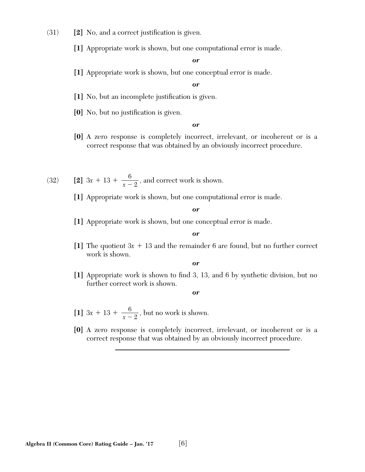- $(31)$  **[2]** No, and a correct justification is given.
	- **[1]** Appropriate work is shown, but one computational error is made.

**[1]** Appropriate work is shown, but one conceptual error is made.

#### *or*

- [1] No, but an incomplete justification is given.
- [0] No, but no justification is given.

#### *or*

- **[0]** A zero response is completely incorrect, irrelevant, or incoherent or is a correct response that was obtained by an obviously incorrect procedure.
- (32) **[2]**  $3x + 13 + \frac{6}{x 2}$ , and correct work is shown.
	- **[1]** Appropriate work is shown, but one computational error is made.

#### *or*

**[1]** Appropriate work is shown, but one conceptual error is made.

#### *or*

[1] The quotient  $3x + 13$  and the remainder 6 are found, but no further correct work is shown.

#### *or*

[1] Appropriate work is shown to find 3, 13, and 6 by synthetic division, but no further correct work is shown.

- [1]  $3x + 13 + \frac{6}{x 2}$ , but no work is shown.
- **[0]** A zero response is completely incorrect, irrelevant, or incoherent or is a correct response that was obtained by an obviously incorrect procedure.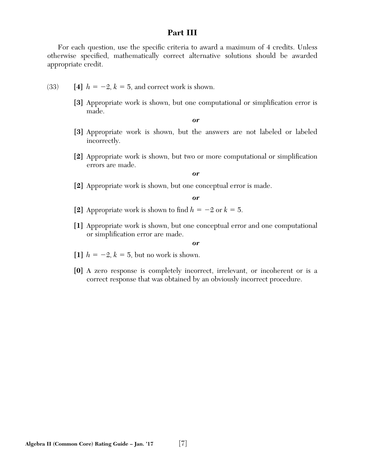## **Part III**

For each question, use the specific criteria to award a maximum of 4 credits. Unless otherwise specified, mathematically correct alternative solutions should be awarded appropriate credit.

- (33) **[4]**  $h = -2$ ,  $k = 5$ , and correct work is shown.
	- [3] Appropriate work is shown, but one computational or simplification error is made.

*or*

- **[3]** Appropriate work is shown, but the answers are not labeled or labeled incorrectly.
- **[2]** Appropriate work is shown, but two or more computational or simplification errors are made.

*or*

**[2]** Appropriate work is shown, but one conceptual error is made.

*or*

- [2] Appropriate work is shown to find  $h = -2$  or  $k = 5$ .
- **[1]** Appropriate work is shown, but one conceptual error and one computational or simplification error are made.

- [1]  $h = -2, k = 5$ , but no work is shown.
- **[0]** A zero response is completely incorrect, irrelevant, or incoherent or is a correct response that was obtained by an obviously incorrect procedure.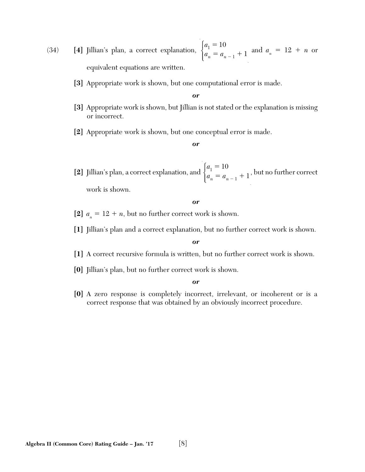(34) **[4]** Jillian's plan, a correct explanation,  $\begin{cases} a_1 = 10 \\ a_2 = a_1 \end{cases}$  $a_n = a_{n-1} + 1$  $\sqrt{ }$  $\begin{cases} a_n = a_{n-1} + 1 \text{ and } a_n = 12 + n \text{ or } a_n \end{cases}$ equivalent equations are written.

**[3]** Appropriate work is shown, but one computational error is made.

*or*

- **[3]** Appropriate work is shown, but Jillian is not stated or the explanation is missing or incorrect.
- **[2]** Appropriate work is shown, but one conceptual error is made.

#### *or*

[2] Jillian's plan, a correct explanation, and  $\begin{cases} a_1 = 10 \\ a_2 = a_1 \end{cases}$  $a_n = a_{n-1} + 1$  $\sqrt{ }$  $\begin{cases} \n a_n = a_{n-1} + 1, \text{ but no further correct} \n\end{cases}$ work is shown.

*or*

- [2]  $a_n = 12 + n$ , but no further correct work is shown.
- **[1]** Jillian's plan and a correct explanation, but no further correct work is shown.

*or*

- **[1]** A correct recursive formula is written, but no further correct work is shown.
- **[0]** Jillian's plan, but no further correct work is shown.

*or*

**[0]** A zero response is completely incorrect, irrelevant, or incoherent or is a correct response that was obtained by an obviously incorrect procedure.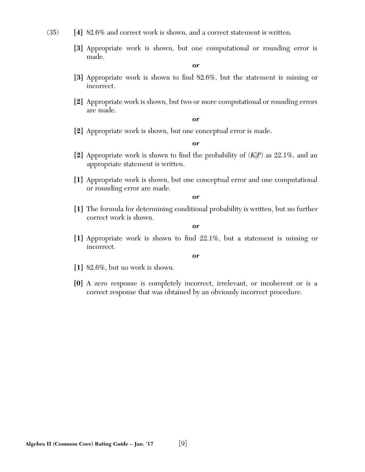- (35) **[4]** 82.6% and correct work is shown, and a correct statement is written.
	- **[3]** Appropriate work is shown, but one computational or rounding error is made.

- [3] Appropriate work is shown to find 82.6%, but the statement is missing or incorrect.
- **[2]** Appropriate work is shown, but two or more computational or rounding errors are made.

*or*

**[2]** Appropriate work is shown, but one conceptual error is made.

*or*

- **[2]** Appropriate work is shown to find the probability of  $(K|P)$  as 22.1%, and an appropriate statement is written.
- **[1]** Appropriate work is shown, but one conceptual error and one computational or rounding error are made.

*or*

**[1]** The formula for determining conditional probability is written, but no further correct work is shown.

*or*

[1] Appropriate work is shown to find 22.1%, but a statement is missing or incorrect.

- **[1]** 82.6%, but no work is shown.
- **[0]** A zero response is completely incorrect, irrelevant, or incoherent or is a correct response that was obtained by an obviously incorrect procedure.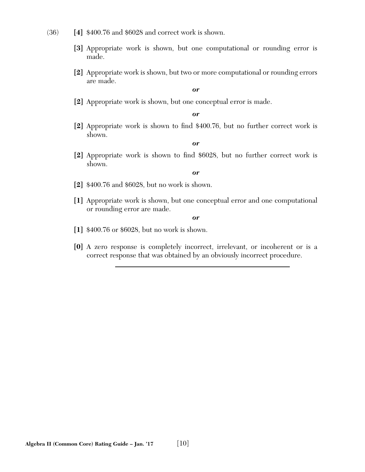- (36) **[4]** \$400.76 and \$6028 and correct work is shown.
	- **[3]** Appropriate work is shown, but one computational or rounding error is made.
	- **[2]** Appropriate work is shown, but two or more computational or rounding errors are made.

**[2]** Appropriate work is shown, but one conceptual error is made.

*or*

[2] Appropriate work is shown to find \$400.76, but no further correct work is shown.

*or*

[2] Appropriate work is shown to find \$6028, but no further correct work is shown.

*or*

- **[2]** \$400.76 and \$6028, but no work is shown.
- **[1]** Appropriate work is shown, but one conceptual error and one computational or rounding error are made.

- **[1]** \$400.76 or \$6028, but no work is shown.
- **[0]** A zero response is completely incorrect, irrelevant, or incoherent or is a correct response that was obtained by an obviously incorrect procedure.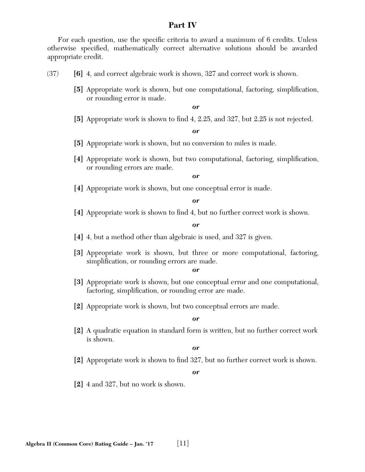## **Part IV**

For each question, use the specific criteria to award a maximum of 6 credits. Unless otherwise specified, mathematically correct alternative solutions should be awarded appropriate credit.

- (37) **[6]** 4, and correct algebraic work is shown, 327 and correct work is shown.
	- [5] Appropriate work is shown, but one computational, factoring, simplification, or rounding error is made.

*or*

**[5]** Appropriate work is shown to find 4, 2.25, and 327, but 2.25 is not rejected.

#### *or*

- **[5]** Appropriate work is shown, but no conversion to miles is made.
- [4] Appropriate work is shown, but two computational, factoring, simplification, or rounding errors are made.

#### *or*

**[4]** Appropriate work is shown, but one conceptual error is made.

#### *or*

[4] Appropriate work is shown to find 4, but no further correct work is shown.

#### *or*

- **[4]** 4, but a method other than algebraic is used, and 327 is given.
- **[3]** Appropriate work is shown, but three or more computational, factoring, simplification, or rounding errors are made.

#### *or*

- **[3]** Appropriate work is shown, but one conceptual error and one computational, factoring, simplification, or rounding error are made.
- **[2]** Appropriate work is shown, but two conceptual errors are made.

#### *or*

**[2]** A quadratic equation in standard form is written, but no further correct work is shown.

#### *or*

[2] Appropriate work is shown to find 327, but no further correct work is shown.

*or*

**[2]** 4 and 327, but no work is shown.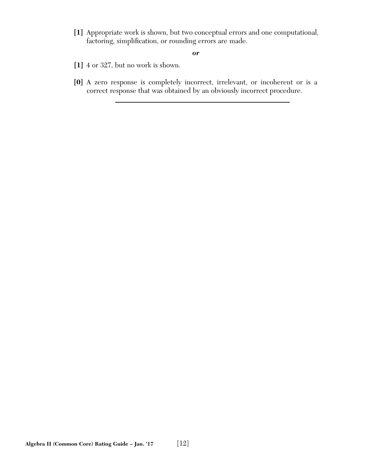**[1]** Appropriate work is shown, but two conceptual errors and one computational, factoring, simplification, or rounding errors are made.

- **[1]** 4 or 327, but no work is shown.
- **[0]** A zero response is completely incorrect, irrelevant, or incoherent or is a correct response that was obtained by an obviously incorrect procedure.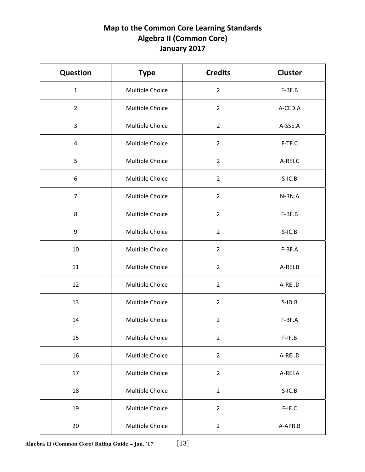## **Map to the Common Core Learning Standards Algebra II (Common Core) January 2017**

| <b>Question</b> | <b>Type</b>     | <b>Credits</b> | <b>Cluster</b> |
|-----------------|-----------------|----------------|----------------|
| $\mathbf 1$     | Multiple Choice | $\overline{2}$ | F-BF.B         |
| $\overline{2}$  | Multiple Choice | $\overline{2}$ | A-CED.A        |
| 3               | Multiple Choice | $\overline{2}$ | A-SSE.A        |
| 4               | Multiple Choice | $\overline{2}$ | F-TF.C         |
| 5               | Multiple Choice | $\overline{2}$ | A-REI.C        |
| 6               | Multiple Choice | $\overline{2}$ | $S-IC.B$       |
| $\overline{7}$  | Multiple Choice | $\overline{2}$ | N-RN.A         |
| 8               | Multiple Choice | $\overline{2}$ | F-BF.B         |
| $9\,$           | Multiple Choice | $\overline{2}$ | $S-IC.B$       |
| 10              | Multiple Choice | $\overline{2}$ | F-BF.A         |
| 11              | Multiple Choice | $\overline{2}$ | A-REI.B        |
| 12              | Multiple Choice | $\overline{2}$ | A-REI.D        |
| 13              | Multiple Choice | $\overline{2}$ | $S$ -ID.B      |
| 14              | Multiple Choice | $\overline{2}$ | F-BF.A         |
| 15              | Multiple Choice | $\overline{2}$ | $F-IF.B$       |
| 16              | Multiple Choice | $\overline{2}$ | A-REI.D        |
| 17              | Multiple Choice | $\overline{2}$ | A-REI.A        |
| 18              | Multiple Choice | $\overline{2}$ | $S-IC.B$       |
| 19              | Multiple Choice | $\overline{2}$ | F-IF.C         |
| 20              | Multiple Choice | $\overline{2}$ | A-APR.B        |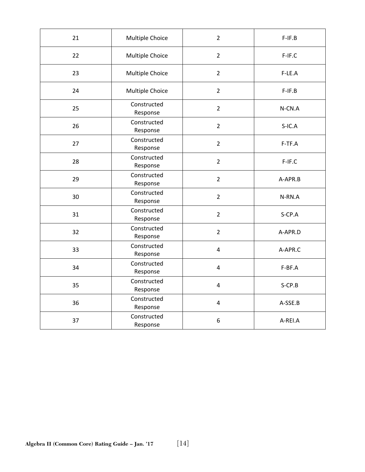| 21 | Multiple Choice         | $\overline{2}$          | $F-IF.B$  |
|----|-------------------------|-------------------------|-----------|
| 22 | Multiple Choice         | $\overline{2}$          | $F-IF.C$  |
| 23 | Multiple Choice         | $\overline{2}$          | F-LE.A    |
| 24 | Multiple Choice         | $\overline{2}$          | $F-IF.B$  |
| 25 | Constructed<br>Response | $\overline{2}$          | N-CN.A    |
| 26 | Constructed<br>Response | $\overline{2}$          | $S-IC.A$  |
| 27 | Constructed<br>Response | $\overline{2}$          | F-TF.A    |
| 28 | Constructed<br>Response | $\overline{2}$          | F-IF.C    |
| 29 | Constructed<br>Response | $\overline{2}$          | A-APR.B   |
| 30 | Constructed<br>Response | $\overline{2}$          | N-RN.A    |
| 31 | Constructed<br>Response | $\overline{2}$          | S-CP.A    |
| 32 | Constructed<br>Response | $\overline{2}$          | A-APR.D   |
| 33 | Constructed<br>Response | $\overline{\mathbf{4}}$ | A-APR.C   |
| 34 | Constructed<br>Response | $\overline{4}$          | F-BF.A    |
| 35 | Constructed<br>Response | 4                       | $S$ -CP.B |
| 36 | Constructed<br>Response | $\overline{\mathbf{4}}$ | A-SSE.B   |
| 37 | Constructed<br>Response | $\boldsymbol{6}$        | A-REI.A   |